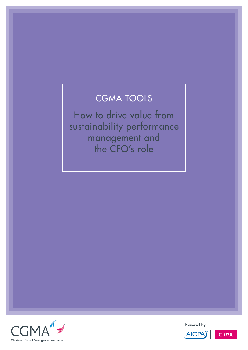# CGMA TOOLs

How to drive value from sustainability performance management and the CFO's role



Powered by



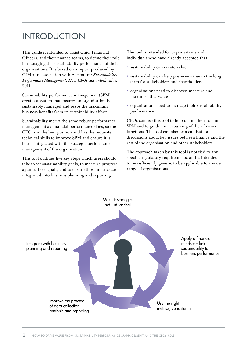## INTRODUCTION

This guide is intended to assist Chief Financial Officers, and their finance teams, to define their role in managing the sustainability performance of their organisations. It is based on a report produced by CIMA in association with Accenture: *[Sustainability](http://www.cimaglobal.com/CFOsustainability)  [Performance Management: How CFOs can unlock value](http://www.cimaglobal.com/CFOsustainability)*, 2011.

Sustainability performance management (SPM) creates a system that ensures an organisation is sustainably managed and reaps the maximum business benefits from its sustainability efforts.

Sustainability merits the same robust performance management as financial performance does, so the CFO is in the best position and has the requisite technical skills to improve SPM and ensure it is better integrated with the strategic performance management of the organisation.

This tool outlines five key steps which users should take to set sustainability goals, to measure progress against those goals, and to ensure those metrics are integrated into business planning and reporting.

The tool is intended for organisations and individuals who have already accepted that:

- sustainability can create value
- sustainability can help preserve value in the long term for stakeholders and shareholders
- • organisations need to discover, measure and maximise that value
- • organisations need to manage their sustainability performance.

CFOs can use this tool to help define their role in SPM and to guide the resourcing of their finance functions. The tool can also be a catalyst for discussions about key issues between finance and the rest of the organisation and other stakeholders.

The approach taken by this tool is not tied to any specific regulatory requirements, and is intended to be sufficiently generic to be applicable to a wide range of organisations.

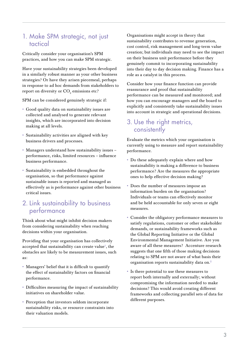#### 1. Make SPM strategic, not just tactical

Critically consider your organisation's SPM practices, and how you can make SPM strategic.

Have your sustainability strategies been developed in a similarly robust manner as your other business strategies? Or have they arisen piecemeal, perhaps in response to ad hoc demands from stakeholders to report on diversity or  $\mathrm{CO}_2$  emissions etc?

SPM can be considered genuinely strategic if:

- • Good quality data on sustainability issues are collected and analysed to generate relevant insights, which are incorporated into decision making at all levels.
- • Sustainability activities are aligned with key business drivers and processes.
- • Managers understand how sustainability issues performance, risks, limited resources – influence business performance.
- • Sustainability is embedded throughout the organisation, so that performance against sustainable issues is reported and managed as effectively as is performance against other business critical issues.

#### 2. Link sustainability to business performance

Think about what might inhibit decision makers from considering sustainability when reaching decisions within your organisation.

Providing that your organisation has collectively accepted that sustainability can create value<sup>1</sup>, the obstacles are likely to be measurement issues, such as:

- • Managers' belief that it is difficult to quantify the effect of sustainability factors on financial performance.
- • Difficulties measuring the impact of sustainability initiatives on shareholder value.
- • Perception that investors seldom incorporate sustainability risks, or resource constraints into their valuation models.

Organisations might accept in theory that sustainability contributes to revenue generation, cost control, risk management and long-term value creation; but individuals may need to see the impact on their business unit performance before they genuinely commit to incorporating sustainability into their day to day decision making. Finance has a role as a catalyst in this process.

Consider how your finance function can provide reassurance and proof that sustainability performance can be measured and monitored; and how you can encourage managers and the board to explicitly and consistently take sustainability issues into account in strategic and operational decisions.

#### 3. Use the right metrics, consistently

Evaluate the metrics which your organisation is currently using to measure and report sustainability performance.

- • Do these adequately explain where and how sustainability is making a difference to business performance? Are the measures the appropriate ones to help effective decision making?
- • Does the number of measures impose an information burden on the organisation? Individuals or teams can effectively monitor and be held accountable for only seven or eight measures.
- • Consider the obligatory performance measures to satisfy regulations, customer or other stakeholder demands, or sustainability frameworks such as the Global Reporting Initiative or the Global Environmental Management Initiative. Are you aware of all these measures? Accenture research suggests that one fifth of those making decisions relating to SPM are not aware of what basis their organisation reports sustainability data on.<sup>2</sup>
- • Is there potential to use these measures to report both internally and externally; without compromising the information needed to make decisions? This would avoid creating different frameworks and collecting parallel sets of data for different purposes.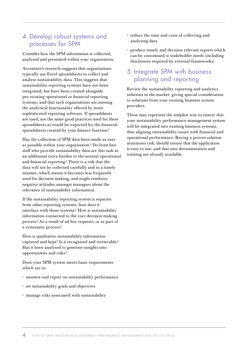#### 4. Develop robust systems and processes for SPM

Consider how the SPM information is collected, analysed and presented within your organisation.

Accenture's research suggests that organisations typically use Excel spreadsheets to collect and analyse sustainability data. This suggests that sustainability reporting systems have not been integrated, but have been created alongside pre-existing operational or financial reporting systems; and that such organisations are missing the analytical functionality offered by more sophisticated reporting software. If spreadsheets are used, are the same good practices used for these spreadsheets as would be expected for the financial spreadsheets created by your finance function?

Has the collection of SPM data been made as easy as possible within your organisation? Do front line staff who provide sustainability data see this task as an additional extra burden to the normal operational and financial reporting? There is a risk that the data will not be collected carefully and in a timely manner, which means it becomes less frequently used for decision making, and might reinforce negative attitudes amongst managers about the relevance of sustainability information.

If the sustainability reporting system is separate from other reporting systems, how does it interface with those systems? How is sustainability information connected to the core decision making process? As a result of ad hoc requests, or as part of a systematic process?

How is qualitative sustainability information captured and kept? Is it recognised and retrievable? Has it been analysed to generate insights into opportunities and risks?

Does your SPM system meets basic requirements which are to:

- • monitor and report on sustainability performance
- • set sustainability goals and objectives
- • manage risks associated with sustainability
- • reduce the time and costs of collecting and analysing data
- • produce timely and decision relevant reports which can be customised to stakeholder needs (including disclosures required by external frameworks).

### 5. Integrate SPM with business planning and reporting

Review the sustainability reporting and analytics solutions in the market; giving special consideration to solutions from your existing business system providers.

These may represent the simplest way to ensure that your sustainability performance management system will be integrated into existing business systems, thus aligning sustainability issues with financial and operational performance. Buying a proven solution minimises risk; should ensure that the application is easy to use; and that user documentation and training are already available.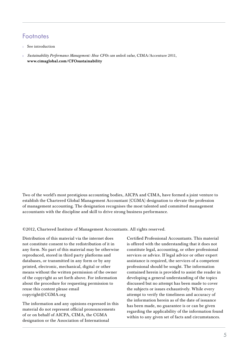## Footnotes

- <sup>1</sup> See introduction
- <sup>2</sup> *[Sustainability Performance Management: How CFOs can unlock value](http://www.cimaglobal.com/CFOsustainability)*, CIMA/Accenture 2011, www.cimaglobal.com/CFOsustainability

Two of the world's most prestigious accounting bodies, AICPA and CIMA, have formed a joint venture to establish the Chartered Global Management Accountant (CGMA) designation to elevate the profession of management accounting. The designation recognises the most talented and committed management accountants with the discipline and skill to drive strong business performance.

©2012, Chartered Institute of Management Accountants. All rights reserved.

Distribution of this material via the internet does not constitute consent to the redistribution of it in any form. No part of this material may be otherwise reproduced, stored in third party platforms and databases, or transmitted in any form or by any printed, electronic, mechanical, digital or other means without the written permission of the owner of the copyright as set forth above. For information about the procedure for requesting permission to reuse this content please email copyright@CGMA.org

The information and any opinions expressed in this material do not represent official pronouncements of or on behalf of AICPA, CIMA, the CGMA designation or the Association of International

Certified Professional Accountants. This material is offered with the understanding that it does not constitute legal, accounting, or other professional services or advice. If legal advice or other expert assistance is required, the services of a competent professional should be sought. The information contained herein is provided to assist the reader in developing a general understanding of the topics discussed but no attempt has been made to cover the subjects or issues exhaustively. While every attempt to verify the timeliness and accuracy of the information herein as of the date of issuance has been made, no guarantee is or can be given regarding the applicability of the information found within to any given set of facts and circumstances.